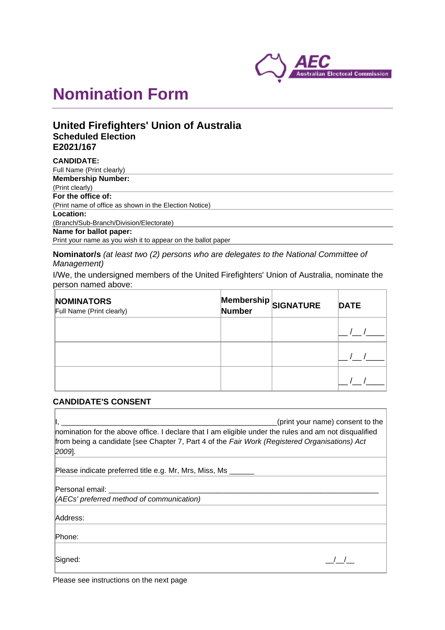

# **Nomination Form**

# **United Firefighters' Union of Australia Scheduled Election E2021/167**

| <b>CANDIDATE:</b>                                            |
|--------------------------------------------------------------|
| Full Name (Print clearly)                                    |
| <b>Membership Number:</b>                                    |
| (Print clearly)                                              |
| For the office of:                                           |
| (Print name of office as shown in the Election Notice)       |
| Location:                                                    |
| (Branch/Sub-Branch/Division/Electorate)                      |
| Name for ballot paper:                                       |
| Print your name as you wish it to appear on the ballot paper |

**Nominator/s** *(at least two (2) persons who are delegates to the National Committee of Management)*

I/We, the undersigned members of the United Firefighters' Union of Australia, nominate the person named above:

| <b>NOMINATORS</b><br>Full Name (Print clearly) | <b>Number</b> | $\big $ Membership $\big _\mathsf{SIGNATURE}$ | <b>DATE</b> |
|------------------------------------------------|---------------|-----------------------------------------------|-------------|
|                                                |               |                                               |             |
|                                                |               |                                               |             |
|                                                |               |                                               |             |

### **CANDIDATE'S CONSENT**

| (print your name) consent to the<br>nomination for the above office. I declare that I am eligible under the rules and am not disqualified<br>from being a candidate [see Chapter 7, Part 4 of the Fair Work (Registered Organisations) Act<br>$[2009]$ . |
|----------------------------------------------------------------------------------------------------------------------------------------------------------------------------------------------------------------------------------------------------------|
| Please indicate preferred title e.g. Mr, Mrs, Miss, Ms                                                                                                                                                                                                   |
| Personal email: ______________________                                                                                                                                                                                                                   |
| (AECs' preferred method of communication)                                                                                                                                                                                                                |
| Address:                                                                                                                                                                                                                                                 |
| Phone:                                                                                                                                                                                                                                                   |

 $\overline{1}$ 

Please see instructions on the next page